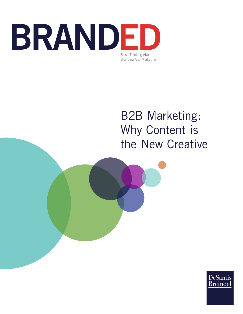

# B2B Marketing: Why Content is the New Creative

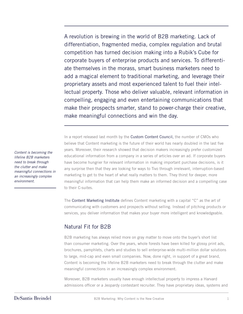A revolution is brewing in the world of B2B marketing. Lack of differentiation, fragmented media, complex regulation and brutal competition has turned decision making into a Rubik's Cube for corporate buyers of enterprise products and services. To differentiate themselves in the morass, smart business marketers need to add a magical element to traditional marketing, and leverage their proprietary assets and most experienced talent to fuel their intellectual property. Those who deliver valuable, relevant information in compelling, engaging and even entertaining communications that make their prospects smarter, stand to power-charge their creative, make meaningful connections and win the day.

In a report released last month by the Custom Content Council, the number of CMOs who believe that Content marketing is the future of their world has nearly doubled in the last five years. Moreover, their research showed that decision makers increasingly prefer customized educational information from a company in a series of articles over an ad. If corporate buyers have become hungrier for relevant information in making important purchase decisions, is it any surprise then that they are looking for ways to Tivo through irrelevant, interruption-based marketing to get to the heart of what really matters to them. They thirst for deeper, more meaningful information that can help them make an informed decision and a compelling case to their C-suites.

The Content Marketing Institute defines Content marketing with a capital "C" as the art of communicating with customers and prospects without selling. Instead of pitching products or services, you deliver information that makes your buyer more intelligent and knowledgeable.

### Natural Fit for B2B

B2B marketing has always relied more on gray matter to move onto the buyer's short list than consumer marketing. Over the years, whole forests have been killed for glossy print ads, brochures, pamphlets, charts and studies to sell enterprise-wide multi-million dollar solutions to large, mid-cap and even small companies. Now, done right, in support of a great brand, Content is becoming the lifeline B2B marketers need to break through the clutter and make meaningful connections in an increasingly complex environment.

Moreover, B2B marketers usually have enough intellectual property to impress a Harvard admissions officer or a Jeopardy contestant recruiter. They have proprietary ideas, systems and

*Content is becoming the lifeline B2B marketers need to break through the clutter and make meaningful connections in an increasingly complex environment.*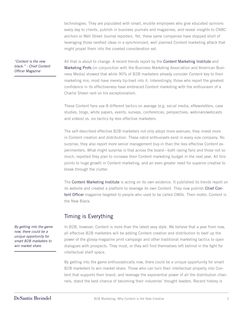technologies. They are populated with smart, erudite employees who give educated opinions every day to clients, publish in business journals and magazines, and reveal insights to CNBC anchors or Wall Street Journal reporters. Yet, these same companies have stopped short of leveraging those rarefied ideas in a synchronized, well planned Content marketing attack that might propel them into the coveted consideration set.

*"Content is the new black." - Chief Content Officer Magazine* 

All that is about to change. A recent trends report by the Content Marketing Institute and Marketing Profs (in conjunction with the Business Marketing Association and American Business Media) showed that while 90% of B2B marketers already consider Content key to their marketing mix, most have merely tip-toed into it. Interestingly, those who report the greatest confidence in its effectiveness have embraced Content marketing with the enthusiasm of a Charlie Sheen rant on his exceptionalism.

These Content fans use 8 different tactics on average (e.g. social media, eNewsletters, case studies, blogs, white papers, events, surveys, conferences, perspectives, webinars/webcasts and videos) vs. six tactics by less effective marketers.

The self-described effective B2B marketers not only adopt more avenues, they invest more in Content creation and distribution. These rabid enthusiasts exist in every size company. No surprise, they also report more senior management buy-in than the less effective Content experimenters. What might surprise is that across the board—both raving fans and those not so much, reported they plan to increase their Content marketing budget in the next year. All this points to huge growth in Content marketing, and an even greater need for superior creative to break through the clutter.

The Content Marketing Institute is acting on its own evidence. It published its trends report on its website and created a platform to leverage its own Content. They now publish Chief Content Officer magazine targeted to people who used to be called CMOs. Their motto: Content is the New Black.

## Timing is Everything

In B2B, however, Content is more than the latest sexy style. We believe that a year from now, all effective B2B marketers will be adding Content creation and distribution to beef up the power of the glossy-magazine print campaign and other traditional marketing tactics to open dialogues with prospects. They must, or they will find themselves left behind in the fight for intellectual shelf space.

By getting into the game enthusiastically now, there could be a unique opportunity for smart B2B marketers to win market share. Those who can turn their intellectual property into Content that supports their brand, and leverage the exponential power of all the distribution channels, stand the best chance of becoming their industries' thought leaders. Recent history is

*By getting into the game now, there could be a unique opportunity for smart B2B marketers to win market share.*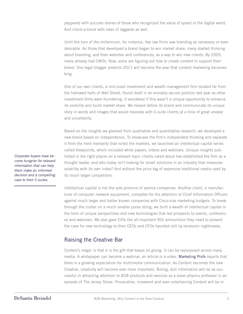peppered with success stories of those who recognized the value of speed in the digital world. And chock-a-block with tales of laggards as well.

Until the turn of the millennium, for instance, few law firms saw branding as necessary or even desirable. As those that developed a brand began to win market share, many started thinking about branding, and then websites and conferences, as a way to win new clients. By 2005, many already had CMOs. Now, some are figuring out how to create content to support their brand. One legal blogger predicts 2011 will become the year that content marketing becomes king.

One of our own clients, a mid-sized investment and wealth management firm located far from the hallowed halls of Wall Street, found itself in an enviably secure position last year as other investment firms were foundering. It wondered if this wasn't a unique opportunity to enhance its visibility and build market share. We helped define its brand and communicate its unique story in words and images that would resonate with C-suite clients at a time of great unease and uncertainty.

Based on the insights we gleaned from qualitative and quantitative research, we developed a new brand based on independence. To showcase the firm's independent thinking and separate it from the herd mentality that roiled the markets, we launched an intellectual capital series called Viewpoints, which included white papers, videos and webinars. Unique insights published in the right places on a relevant topic clients cared about has established the firm as a thought leader, and who today isn't looking for smart solutions in an industry that measures volatility with its own index? And without the price tag of expensive traditional media used by its much larger competitors.

Intellectual capital is not the sole province of service companies. Another client, a manufacturer of computer network equipment, competes for the attention of Chief Information Officers against much larger and better known companies with Cisco-size marketing budgets. To break through the clutter on a much smaller purse string, we built a wealth of intellectual capital in the form of unique perspectives and new technologies that led prospects to events, conferences and webinars. We also gave CIOs the all-important ROI ammunition they need to present the case for new technology to their CEOs and CFOs haunted still by recession nightmares.

### Raising the Creative Bar

Content's magic is that it is the gift that keeps on giving. It can be repurposed across many media. A whitepaper can become a webinar, an article or a video. Marketing Profs reports that there is a growing expectation for multimedia communication. As Content becomes the new Creative, creativity will become ever more important. Boring, dull information will be as successful in attracting attention to B2B products and services as a sober physics professor in an episode of The Jersey Shore. Provocative, irreverent and even entertaining Content will be in

*Corporate buyers have become hungrier for relevant information that can help them make an informed decision and a compelling case to their C-suites.*